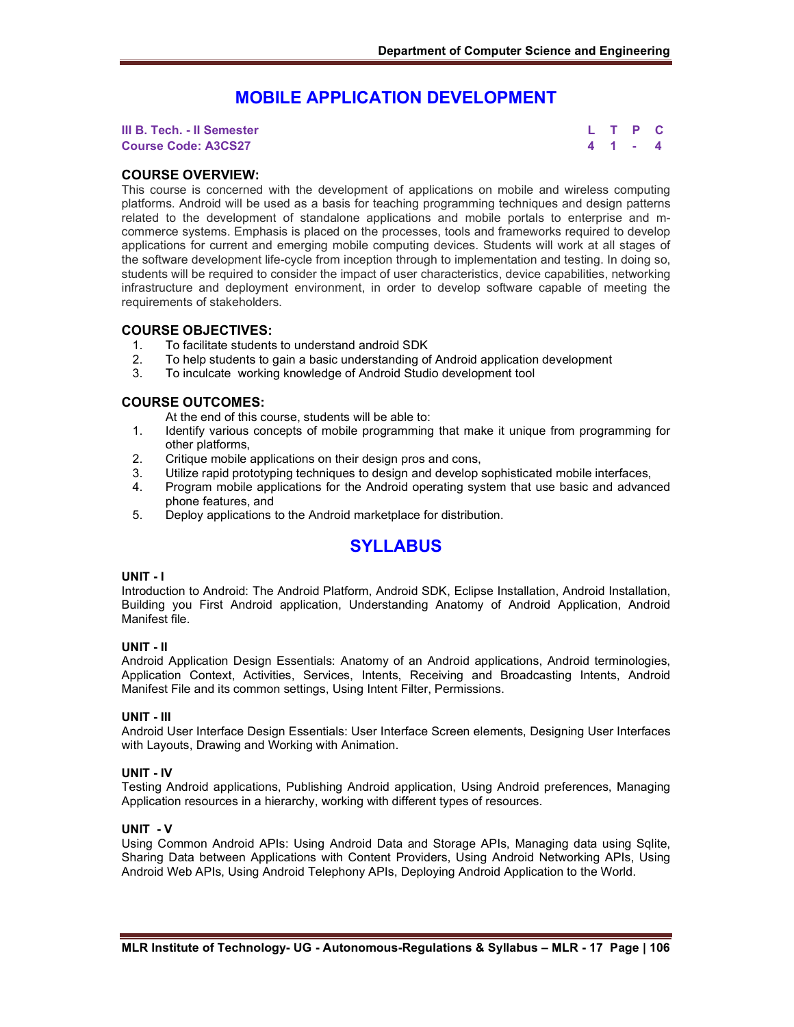# **MOBILE APPLICATION DEVELOPMENT**

**III B. Tech. - II Semester L T P C Course Code: A3CS27 4 1 - 4**

# **COURSE OVERVIEW:**

This course is concerned with the development of applications on mobile and wireless computing platforms. Android will be used as a basis for teaching programming techniques and design patterns related to the development of standalone applications and mobile portals to enterprise and mcommerce systems. Emphasis is placed on the processes, tools and frameworks required to develop applications for current and emerging mobile computing devices. Students will work at all stages of the software development life-cycle from inception through to implementation and testing. In doing so, students will be required to consider the impact of user characteristics, device capabilities, networking infrastructure and deployment environment, in order to develop software capable of meeting the requirements of stakeholders.

# **COURSE OBJECTIVES:**

- 1. To facilitate students to understand android SDK
- 2. To help students to gain a basic understanding of Android application development
- 3. To inculcate working knowledge of Android Studio development tool

# **COURSE OUTCOMES:**

At the end of this course, students will be able to:

- 1. Identify various concepts of mobile programming that make it unique from programming for other platforms,
- 2. Critique mobile applications on their design pros and cons,
- 3. Utilize rapid prototyping techniques to design and develop sophisticated mobile interfaces,
- 4. Program mobile applications for the Android operating system that use basic and advanced phone features, and
- 5. Deploy applications to the Android marketplace for distribution.

# **SYLLABUS**

#### **UNIT - I**

Introduction to Android: The Android Platform, Android SDK, Eclipse Installation, Android Installation, Building you First Android application, Understanding Anatomy of Android Application, Android Manifest file.

#### **UNIT - II**

Android Application Design Essentials: Anatomy of an Android applications, Android terminologies, Application Context, Activities, Services, Intents, Receiving and Broadcasting Intents, Android Manifest File and its common settings, Using Intent Filter, Permissions.

# **UNIT - III**

Android User Interface Design Essentials: User Interface Screen elements, Designing User Interfaces with Layouts, Drawing and Working with Animation.

#### **UNIT - IV**

Testing Android applications, Publishing Android application, Using Android preferences, Managing Application resources in a hierarchy, working with different types of resources.

### **UNIT - V**

Using Common Android APIs: Using Android Data and Storage APIs, Managing data using Sqlite, Sharing Data between Applications with Content Providers, Using Android Networking APIs, Using Android Web APIs, Using Android Telephony APIs, Deploying Android Application to the World.